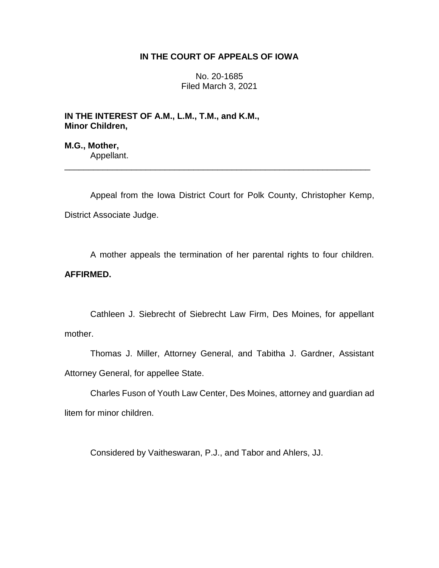## **IN THE COURT OF APPEALS OF IOWA**

No. 20-1685 Filed March 3, 2021

**IN THE INTEREST OF A.M., L.M., T.M., and K.M., Minor Children,**

**M.G., Mother,** Appellant.

Appeal from the Iowa District Court for Polk County, Christopher Kemp, District Associate Judge.

\_\_\_\_\_\_\_\_\_\_\_\_\_\_\_\_\_\_\_\_\_\_\_\_\_\_\_\_\_\_\_\_\_\_\_\_\_\_\_\_\_\_\_\_\_\_\_\_\_\_\_\_\_\_\_\_\_\_\_\_\_\_\_\_

A mother appeals the termination of her parental rights to four children. **AFFIRMED.**

Cathleen J. Siebrecht of Siebrecht Law Firm, Des Moines, for appellant mother.

Thomas J. Miller, Attorney General, and Tabitha J. Gardner, Assistant Attorney General, for appellee State.

Charles Fuson of Youth Law Center, Des Moines, attorney and guardian ad litem for minor children.

Considered by Vaitheswaran, P.J., and Tabor and Ahlers, JJ.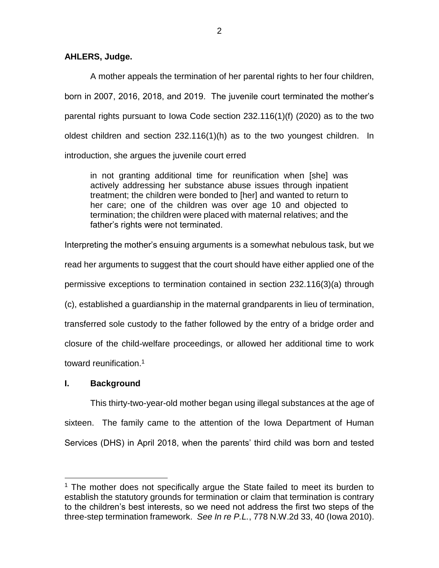## **AHLERS, Judge.**

A mother appeals the termination of her parental rights to her four children, born in 2007, 2016, 2018, and 2019. The juvenile court terminated the mother's parental rights pursuant to Iowa Code section 232.116(1)(f) (2020) as to the two oldest children and section 232.116(1)(h) as to the two youngest children. In introduction, she argues the juvenile court erred

in not granting additional time for reunification when [she] was actively addressing her substance abuse issues through inpatient treatment; the children were bonded to [her] and wanted to return to her care; one of the children was over age 10 and objected to termination; the children were placed with maternal relatives; and the father's rights were not terminated.

Interpreting the mother's ensuing arguments is a somewhat nebulous task, but we read her arguments to suggest that the court should have either applied one of the permissive exceptions to termination contained in section 232.116(3)(a) through (c), established a guardianship in the maternal grandparents in lieu of termination, transferred sole custody to the father followed by the entry of a bridge order and closure of the child-welfare proceedings, or allowed her additional time to work toward reunification.<sup>1</sup>

# **I. Background**

 $\overline{a}$ 

This thirty-two-year-old mother began using illegal substances at the age of sixteen. The family came to the attention of the Iowa Department of Human Services (DHS) in April 2018, when the parents' third child was born and tested

<sup>&</sup>lt;sup>1</sup> The mother does not specifically argue the State failed to meet its burden to establish the statutory grounds for termination or claim that termination is contrary to the children's best interests, so we need not address the first two steps of the three-step termination framework. *See In re P.L.*, 778 N.W.2d 33, 40 (Iowa 2010).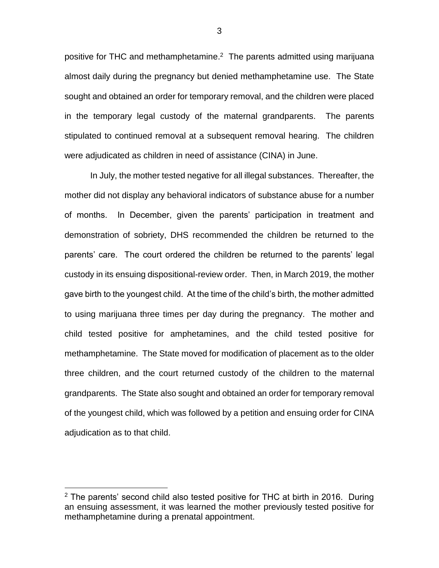positive for THC and methamphetamine. $2$  The parents admitted using marijuana almost daily during the pregnancy but denied methamphetamine use. The State sought and obtained an order for temporary removal, and the children were placed in the temporary legal custody of the maternal grandparents. The parents stipulated to continued removal at a subsequent removal hearing. The children were adjudicated as children in need of assistance (CINA) in June.

In July, the mother tested negative for all illegal substances. Thereafter, the mother did not display any behavioral indicators of substance abuse for a number of months. In December, given the parents' participation in treatment and demonstration of sobriety, DHS recommended the children be returned to the parents' care. The court ordered the children be returned to the parents' legal custody in its ensuing dispositional-review order. Then, in March 2019, the mother gave birth to the youngest child. At the time of the child's birth, the mother admitted to using marijuana three times per day during the pregnancy. The mother and child tested positive for amphetamines, and the child tested positive for methamphetamine. The State moved for modification of placement as to the older three children, and the court returned custody of the children to the maternal grandparents. The State also sought and obtained an order for temporary removal of the youngest child, which was followed by a petition and ensuing order for CINA adjudication as to that child.

 $\overline{a}$ 

3

 $2$  The parents' second child also tested positive for THC at birth in 2016. During an ensuing assessment, it was learned the mother previously tested positive for methamphetamine during a prenatal appointment.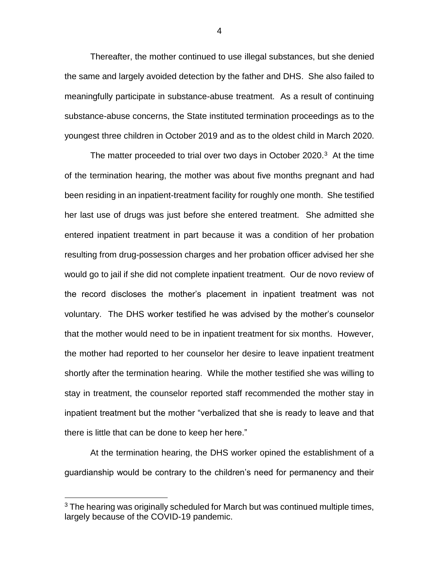Thereafter, the mother continued to use illegal substances, but she denied the same and largely avoided detection by the father and DHS. She also failed to meaningfully participate in substance-abuse treatment. As a result of continuing substance-abuse concerns, the State instituted termination proceedings as to the youngest three children in October 2019 and as to the oldest child in March 2020.

The matter proceeded to trial over two days in October 2020. $3$  At the time of the termination hearing, the mother was about five months pregnant and had been residing in an inpatient-treatment facility for roughly one month. She testified her last use of drugs was just before she entered treatment. She admitted she entered inpatient treatment in part because it was a condition of her probation resulting from drug-possession charges and her probation officer advised her she would go to jail if she did not complete inpatient treatment. Our de novo review of the record discloses the mother's placement in inpatient treatment was not voluntary. The DHS worker testified he was advised by the mother's counselor that the mother would need to be in inpatient treatment for six months. However, the mother had reported to her counselor her desire to leave inpatient treatment shortly after the termination hearing. While the mother testified she was willing to stay in treatment, the counselor reported staff recommended the mother stay in inpatient treatment but the mother "verbalized that she is ready to leave and that there is little that can be done to keep her here."

At the termination hearing, the DHS worker opined the establishment of a guardianship would be contrary to the children's need for permanency and their

 $\overline{a}$ 

4

<sup>&</sup>lt;sup>3</sup> The hearing was originally scheduled for March but was continued multiple times, largely because of the COVID-19 pandemic.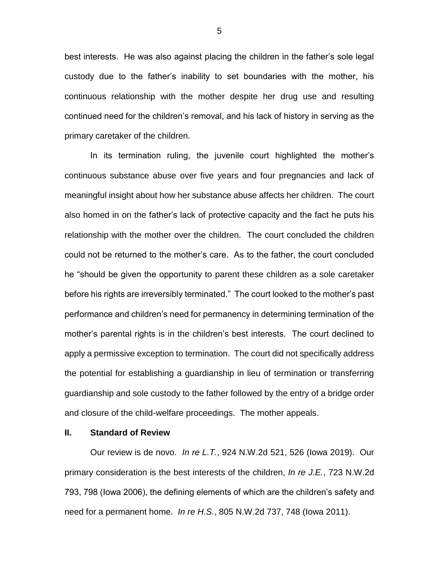best interests. He was also against placing the children in the father's sole legal custody due to the father's inability to set boundaries with the mother, his continuous relationship with the mother despite her drug use and resulting continued need for the children's removal, and his lack of history in serving as the primary caretaker of the children.

In its termination ruling, the juvenile court highlighted the mother's continuous substance abuse over five years and four pregnancies and lack of meaningful insight about how her substance abuse affects her children. The court also homed in on the father's lack of protective capacity and the fact he puts his relationship with the mother over the children. The court concluded the children could not be returned to the mother's care. As to the father, the court concluded he "should be given the opportunity to parent these children as a sole caretaker before his rights are irreversibly terminated." The court looked to the mother's past performance and children's need for permanency in determining termination of the mother's parental rights is in the children's best interests. The court declined to apply a permissive exception to termination. The court did not specifically address the potential for establishing a guardianship in lieu of termination or transferring guardianship and sole custody to the father followed by the entry of a bridge order and closure of the child-welfare proceedings. The mother appeals.

#### **II. Standard of Review**

Our review is de novo. *In re L.T.*, 924 N.W.2d 521, 526 (Iowa 2019). Our primary consideration is the best interests of the children, *In re J.E.*, 723 N.W.2d 793, 798 (Iowa 2006), the defining elements of which are the children's safety and need for a permanent home. *In re H.S.*, 805 N.W.2d 737, 748 (Iowa 2011).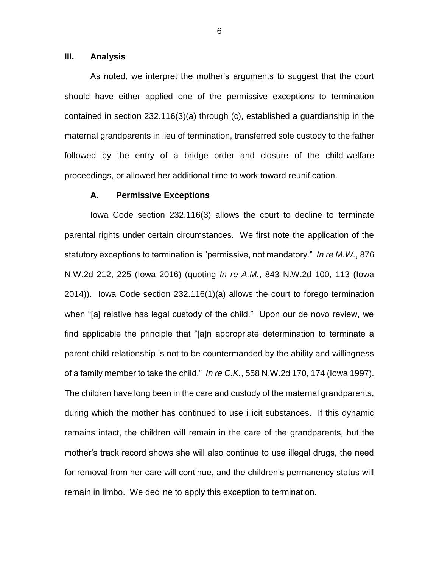## **III. Analysis**

As noted, we interpret the mother's arguments to suggest that the court should have either applied one of the permissive exceptions to termination contained in section 232.116(3)(a) through (c), established a guardianship in the maternal grandparents in lieu of termination, transferred sole custody to the father followed by the entry of a bridge order and closure of the child-welfare proceedings, or allowed her additional time to work toward reunification.

#### **A. Permissive Exceptions**

Iowa Code section 232.116(3) allows the court to decline to terminate parental rights under certain circumstances. We first note the application of the statutory exceptions to termination is "permissive, not mandatory." *In re M.W.*, 876 N.W.2d 212, 225 (Iowa 2016) (quoting *In re A.M.*, 843 N.W.2d 100, 113 (Iowa 2014)). Iowa Code section 232.116(1)(a) allows the court to forego termination when "[a] relative has legal custody of the child." Upon our de novo review, we find applicable the principle that "[a]n appropriate determination to terminate a parent child relationship is not to be countermanded by the ability and willingness of a family member to take the child." *In re C.K.*, 558 N.W.2d 170, 174 (Iowa 1997). The children have long been in the care and custody of the maternal grandparents, during which the mother has continued to use illicit substances. If this dynamic remains intact, the children will remain in the care of the grandparents, but the mother's track record shows she will also continue to use illegal drugs, the need for removal from her care will continue, and the children's permanency status will remain in limbo. We decline to apply this exception to termination.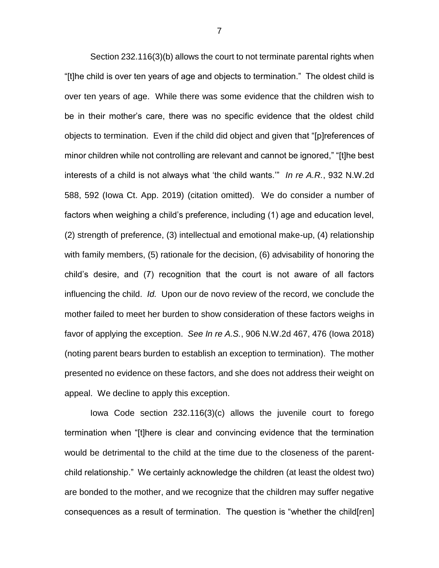Section 232.116(3)(b) allows the court to not terminate parental rights when "[t]he child is over ten years of age and objects to termination." The oldest child is over ten years of age. While there was some evidence that the children wish to be in their mother's care, there was no specific evidence that the oldest child objects to termination. Even if the child did object and given that "[p]references of minor children while not controlling are relevant and cannot be ignored," "[t]he best interests of a child is not always what 'the child wants.'" *In re A.R.*, 932 N.W.2d 588, 592 (Iowa Ct. App. 2019) (citation omitted). We do consider a number of factors when weighing a child's preference, including (1) age and education level, (2) strength of preference, (3) intellectual and emotional make-up, (4) relationship with family members, (5) rationale for the decision, (6) advisability of honoring the child's desire, and (7) recognition that the court is not aware of all factors influencing the child. *Id.* Upon our de novo review of the record, we conclude the mother failed to meet her burden to show consideration of these factors weighs in favor of applying the exception. *See In re A.S.*, 906 N.W.2d 467, 476 (Iowa 2018) (noting parent bears burden to establish an exception to termination). The mother presented no evidence on these factors, and she does not address their weight on appeal. We decline to apply this exception.

Iowa Code section 232.116(3)(c) allows the juvenile court to forego termination when "[t]here is clear and convincing evidence that the termination would be detrimental to the child at the time due to the closeness of the parentchild relationship." We certainly acknowledge the children (at least the oldest two) are bonded to the mother, and we recognize that the children may suffer negative consequences as a result of termination. The question is "whether the child[ren]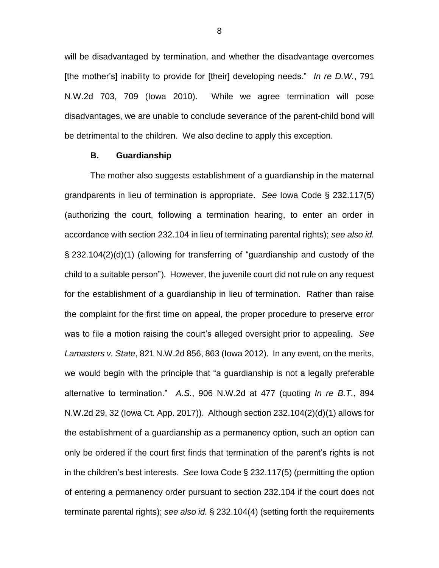will be disadvantaged by termination, and whether the disadvantage overcomes [the mother's] inability to provide for [their] developing needs." *In re D.W.*, 791 N.W.2d 703, 709 (Iowa 2010). While we agree termination will pose disadvantages, we are unable to conclude severance of the parent-child bond will be detrimental to the children. We also decline to apply this exception.

#### **B. Guardianship**

The mother also suggests establishment of a guardianship in the maternal grandparents in lieu of termination is appropriate. *See* Iowa Code § 232.117(5) (authorizing the court, following a termination hearing, to enter an order in accordance with section 232.104 in lieu of terminating parental rights); *see also id.* § 232.104(2)(d)(1) (allowing for transferring of "guardianship and custody of the child to a suitable person"). However, the juvenile court did not rule on any request for the establishment of a guardianship in lieu of termination. Rather than raise the complaint for the first time on appeal, the proper procedure to preserve error was to file a motion raising the court's alleged oversight prior to appealing. *See Lamasters v. State*, 821 N.W.2d 856, 863 (Iowa 2012). In any event, on the merits, we would begin with the principle that "a guardianship is not a legally preferable alternative to termination." *A.S.*, 906 N.W.2d at 477 (quoting *In re B.T.*, 894 N.W.2d 29, 32 (Iowa Ct. App. 2017)). Although section 232.104(2)(d)(1) allows for the establishment of a guardianship as a permanency option, such an option can only be ordered if the court first finds that termination of the parent's rights is not in the children's best interests. *See* Iowa Code § 232.117(5) (permitting the option of entering a permanency order pursuant to section 232.104 if the court does not terminate parental rights); *see also id.* § 232.104(4) (setting forth the requirements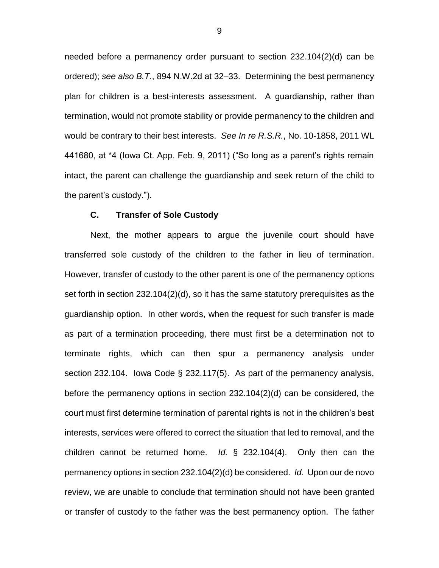needed before a permanency order pursuant to section 232.104(2)(d) can be ordered); *see also B.T.*, 894 N.W.2d at 32–33. Determining the best permanency plan for children is a best-interests assessment. A guardianship, rather than termination, would not promote stability or provide permanency to the children and would be contrary to their best interests. *See In re R.S.R.*, No. 10-1858, 2011 WL 441680, at \*4 (Iowa Ct. App. Feb. 9, 2011) ("So long as a parent's rights remain intact, the parent can challenge the guardianship and seek return of the child to the parent's custody.").

#### **C. Transfer of Sole Custody**

Next, the mother appears to argue the juvenile court should have transferred sole custody of the children to the father in lieu of termination. However, transfer of custody to the other parent is one of the permanency options set forth in section 232.104(2)(d), so it has the same statutory prerequisites as the guardianship option. In other words, when the request for such transfer is made as part of a termination proceeding, there must first be a determination not to terminate rights, which can then spur a permanency analysis under section 232.104. Iowa Code § 232.117(5). As part of the permanency analysis, before the permanency options in section 232.104(2)(d) can be considered, the court must first determine termination of parental rights is not in the children's best interests, services were offered to correct the situation that led to removal, and the children cannot be returned home. *Id.* § 232.104(4). Only then can the permanency options in section 232.104(2)(d) be considered. *Id.* Upon our de novo review, we are unable to conclude that termination should not have been granted or transfer of custody to the father was the best permanency option. The father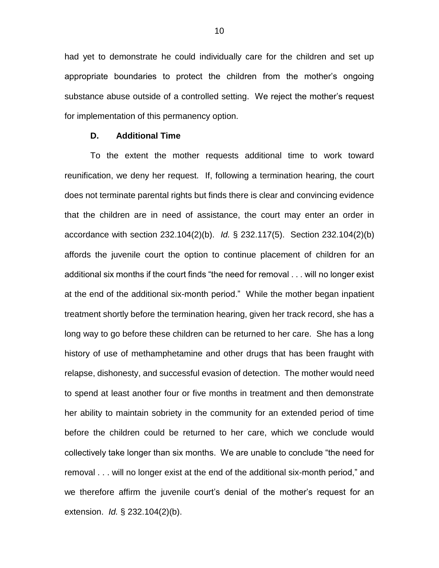had yet to demonstrate he could individually care for the children and set up appropriate boundaries to protect the children from the mother's ongoing substance abuse outside of a controlled setting. We reject the mother's request for implementation of this permanency option.

## **D. Additional Time**

To the extent the mother requests additional time to work toward reunification, we deny her request. If, following a termination hearing, the court does not terminate parental rights but finds there is clear and convincing evidence that the children are in need of assistance, the court may enter an order in accordance with section 232.104(2)(b). *Id.* § 232.117(5). Section 232.104(2)(b) affords the juvenile court the option to continue placement of children for an additional six months if the court finds "the need for removal . . . will no longer exist at the end of the additional six-month period." While the mother began inpatient treatment shortly before the termination hearing, given her track record, she has a long way to go before these children can be returned to her care. She has a long history of use of methamphetamine and other drugs that has been fraught with relapse, dishonesty, and successful evasion of detection. The mother would need to spend at least another four or five months in treatment and then demonstrate her ability to maintain sobriety in the community for an extended period of time before the children could be returned to her care, which we conclude would collectively take longer than six months. We are unable to conclude "the need for removal . . . will no longer exist at the end of the additional six-month period," and we therefore affirm the juvenile court's denial of the mother's request for an extension. *Id.* § 232.104(2)(b).